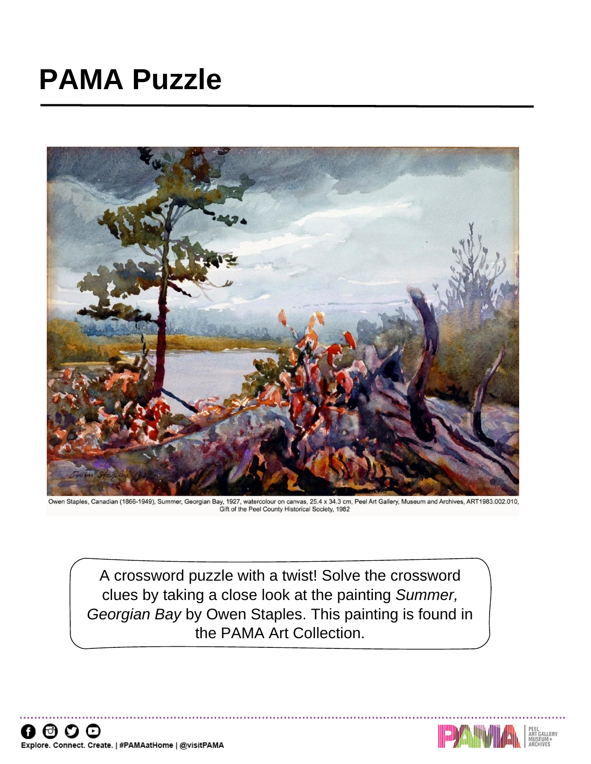## **PAMA Puzzle**



Owen Staples, Canadian (1866-1949), Summer, Georgian Bay, 1927, watercolour on canvas, 25.4 x 34.3 cm, Peel Art Gallery, Museum and Archives, ART1983.002.010,<br>Gift of the Peel County Historical Society, 1982

A crossword puzzle with a twist! Solve the crossword clues by taking a close look at the painting *Summer, Georgian Bay* by Owen Staples. This painting is found in the PAMA Art Collection.

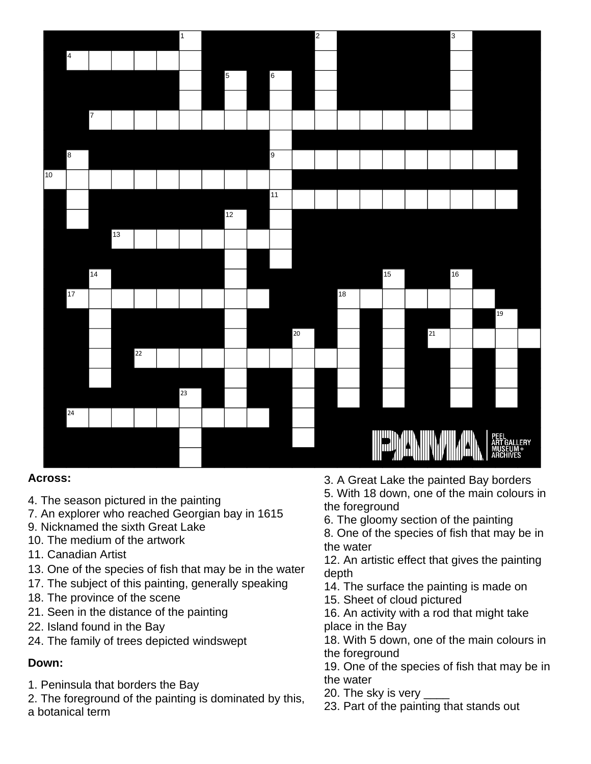

## **Across:**

- 4. The season pictured in the painting
- 7. An explorer who reached Georgian bay in 1615
- 9. Nicknamed the sixth Great Lake
- 10. The medium of the artwork
- 11. Canadian Artist
- 13. One of the species of fish that may be in the water
- 17. The subject of this painting, generally speaking
- 18. The province of the scene
- 21. Seen in the distance of the painting
- 22. Island found in the Bay
- 24. The family of trees depicted windswept

## **Down:**

- 1. Peninsula that borders the Bay
- 2. The foreground of the painting is dominated by this, a botanical term
- 3. A Great Lake the painted Bay borders 5. With 18 down, one of the main colours in the foreground
- 6. The gloomy section of the painting
- 8. One of the species of fish that may be in the water
- 12. An artistic effect that gives the painting depth
- 14. The surface the painting is made on
- 15. Sheet of cloud pictured
- 16. An activity with a rod that might take place in the Bay
- 18. With 5 down, one of the main colours in the foreground
- 19. One of the species of fish that may be in the water
- 20. The sky is very \_\_\_\_
- 23. Part of the painting that stands out